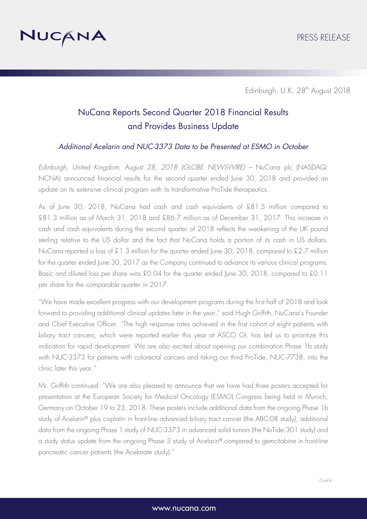

# NuCana Reports Second Quarter 2018 Financial Results and Provides Business Update

### *Additional Acelarin and NUC-3373 Data to be Presented at ESMO in October*

*Edinburgh, United Kingdom, August 28, 2018 (GLOBE NEWSWIRE) –* NuCana plc (NASDAQ: NCNA) announced financial results for the second quarter ended June 30, 2018 and provided an update on its extensive clinical program with its transformative ProTide therapeutics.

As of June 30, 2018, NuCana had cash and cash equivalents of £81.5 million compared to £81.3 million as of March 31, 2018 and £86.7 million as of December 31, 2017. This increase in cash and cash equivalents during the second quarter of 2018 reflects the weakening of the UK pound sterling relative to the US dollar and the fact that NuCana holds a portion of its cash in US dollars. NuCana reported a loss of £1.3 million for the quarter ended June 30, 2018, compared to £2.7 million for the quarter ended June 30, 2017 as the Company continued to advance its various clinical programs. Basic and diluted loss per share was £0.04 for the quarter ended June 30, 2018, compared to £0.11 per share for the comparable quarter in 2017.

"We have made excellent progress with our development programs during the first half of 2018 and look forward to providing additional clinical updates later in the year," said Hugh Griffith, NuCana's Founder and Chief Executive Officer. "The high response rates achieved in the first cohort of eight patients with biliary tract cancers, which were reported earlier this year at ASCO GI, has led us to prioritize this indication for rapid development. We are also excited about opening our combination Phase 1b study with NUC-3373 for patients with colorectal cancers and taking our third ProTide, NUC-7738, into the clinic later this year."

Mr. Griffith continued: "We are also pleased to announce that we have had three posters accepted for presentation at the European Society for Medical Oncology (ESMO) Congress being held in Munich, Germany on October 19 to 23, 2018. These posters include additional data from the ongoing Phase 1b study of Acelarin® plus cisplatin in front-line advanced biliary tract cancer (the ABC-08 study), additional data from the ongoing Phase 1 study of NUC-3373 in advanced solid tumors (the NuTide:301 study) and a study status update from the ongoing Phase 3 study of Acelarin® compared to gemcitabine in front-line pancreatic cancer patients (the Acelarate study)."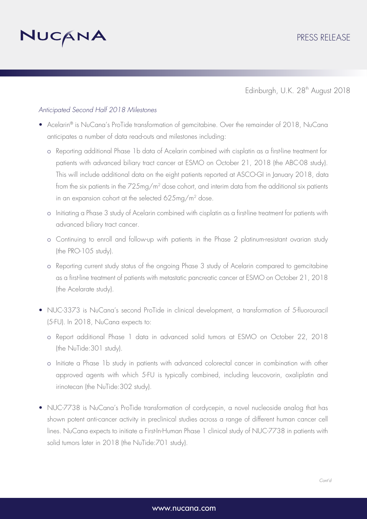

#### *Anticipated Second Half 2018 Milestones*

- Acelarin® is NuCana's ProTide transformation of gemcitabine. Over the remainder of 2018, NuCana anticipates a number of data read-outs and milestones including:
	- o Reporting additional Phase 1b data of Acelarin combined with cisplatin as a first-line treatment for patients with advanced biliary tract cancer at ESMO on October 21, 2018 (the ABC-08 study). This will include additional data on the eight patients reported at ASCO-GI in January 2018, data from the six patients in the 725mg/m2 dose cohort, and interim data from the additional six patients in an expansion cohort at the selected 625mg/m2 dose.
	- o Initiating a Phase 3 study of Acelarin combined with cisplatin as a first-line treatment for patients with advanced biliary tract cancer.
	- o Continuing to enroll and follow-up with patients in the Phase 2 platinum-resistant ovarian study (the PRO-105 study).
	- o Reporting current study status of the ongoing Phase 3 study of Acelarin compared to gemcitabine as a first-line treatment of patients with metastatic pancreatic cancer at ESMO on October 21, 2018 (the Acelarate study).
- NUC-3373 is NuCana's second ProTide in clinical development, a transformation of 5-fluorouracil (5-FU). In 2018, NuCana expects to:
	- o Report additional Phase 1 data in advanced solid tumors at ESMO on October 22, 2018 (the NuTide:301 study).
	- o Initiate a Phase 1b study in patients with advanced colorectal cancer in combination with other approved agents with which 5-FU is typically combined, including leucovorin, oxaliplatin and irinotecan (the NuTide:302 study).
- NUC-7738 is NuCana's ProTide transformation of cordycepin, a novel nucleoside analog that has shown potent anti-cancer activity in preclinical studies across a range of different human cancer cell lines. NuCana expects to initiate a First-In-Human Phase 1 clinical study of NUC-7738 in patients with solid tumors later in 2018 (the NuTide:701 study).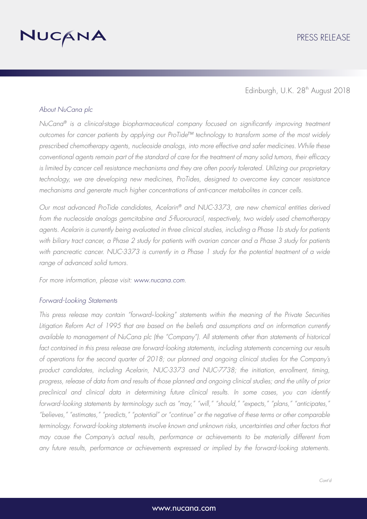

#### *About NuCana plc*

*NuCana® is a clinical-stage biopharmaceutical company focused on significantly improving treatment outcomes for cancer patients by applying our ProTide™ technology to transform some of the most widely prescribed chemotherapy agents, nucleoside analogs, into more effective and safer medicines.While these conventional agents remain part of the standard of care for the treatment of many solid tumors, their efficacy is limited by cancer cell resistance mechanisms and they are often poorly tolerated. Utilizing our proprietary*  technology, we are developing new medicines, ProTides, designed to overcome key cancer resistance *mechanisms and generate much higher concentrations of anti-cancer metabolites in cancer cells.* 

*Our most advanced ProTide candidates, Acelarin® and NUC-3373, are new chemical entities derived from the nucleoside analogs gemcitabine and 5-fluorouracil, respectively, two widely used chemotherapy agents. Acelarin is currently being evaluated in three clinical studies, including a Phase 1b study for patients*  with biliary tract cancer, a Phase 2 study for patients with ovarian cancer and a Phase 3 study for patients with pancreatic cancer. NUC-3373 is currently in a Phase 1 study for the potential treatment of a wide *range of advanced solid tumors.*

*For more information, please visit: www.nucana.com.*

#### *Forward-Looking Statements*

*This press release may contain "forward*‐*looking" statements within the meaning of the Private Securities Litigation Reform Act of 1995 that are based on the beliefs and assumptions and on information currently available to management of NuCana plc (the "Company"). All statements other than statements of historical*  fact contained in this press release are forward-looking statements, including statements concerning our results *of operations for the second quarter of 2018; our planned and ongoing clinical studies for the Company's product candidates, including Acelarin, NUC-3373 and NUC-7738; the initiation, enrollment, timing, progress, release of data from and results of those planned and ongoing clinical studies; and the utility of prior preclinical and clinical data in determining future clinical results. In some cases, you can identify forward-looking statements by terminology such as "may," "will," "should," "expects," "plans," "anticipates," "believes," "estimates," "predicts," "potential" or "continue" or the negative of these terms or other comparable*  terminology. Forward-looking statements involve known and unknown risks, uncertainties and other factors that *may cause the Company's actual results, performance or achievements to be materially different from any future results, performance or achievements expressed or implied by the forward-looking statements.*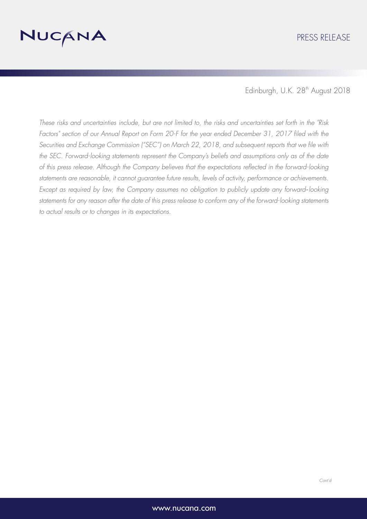

*These risks and uncertainties include, but are not limited to, the risks and uncertainties set forth in the "Risk*  Factors" section of our Annual Report on Form 20-F for the year ended December 31, 2017 filed with the *Securities and Exchange Commission ("SEC") on March 22, 2018, and subsequent reports that we file with the SEC. Forward-looking statements represent the Company's beliefs and assumptions only as of the date of this press release. Although the Company believes that the expectations reflected in the forward-looking statements are reasonable, it cannot guarantee future results, levels of activity, performance or achievements. Except as required by law, the Company assumes no obligation to publicly update any forward*‐*looking statements for any reason after the date of this press release to conform any of the forward-looking statements to actual results or to changes in its expectations.*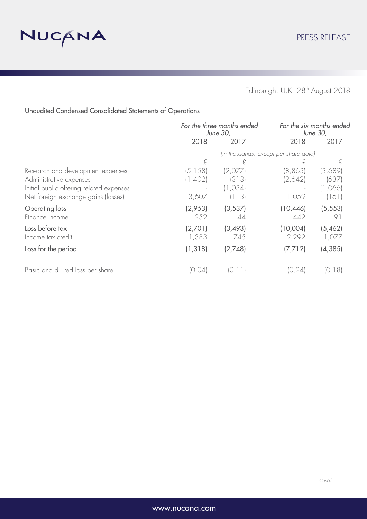

Unaudited Condensed Consolidated Statements of Operations

|                                          | For the three months ended<br>June 30, |          | For the six months ended<br>June 30, |          |
|------------------------------------------|----------------------------------------|----------|--------------------------------------|----------|
|                                          | 2018                                   | 2017     | 2018                                 | 2017     |
|                                          | (in thousands, except per share data)  |          |                                      |          |
|                                          | £                                      | £        | £                                    | £        |
| Research and development expenses        | (5, 158)                               | (2,077)  | (8, 863)                             | (3,689)  |
| Administrative expenses                  | (1,402)                                | (313)    | (2,642)                              | (637)    |
| Initial public offering related expenses |                                        | (1, 034) |                                      | (1,066)  |
| Net foreign exchange gains (losses)      | 3,607                                  | (113)    | 1,059                                | (161)    |
| Operating loss                           | (2,953)                                | (3, 537) | (10, 446)                            | (5, 553) |
| Finance income                           | 252                                    | 44       | 442                                  | 91       |
| Loss before tax                          | (2,701)                                | (3, 493) | (10,004)                             | (5,462)  |
| Income tax credit                        | 1,383                                  | 745      | 2,292                                | 1,077    |
| Loss for the period                      | (1, 318)                               | (2,748)  | (7, 712)                             | (4, 385) |
|                                          |                                        |          |                                      |          |
| Basic and diluted loss per share         | 10.041                                 |          | (0.24)                               | (0.18)   |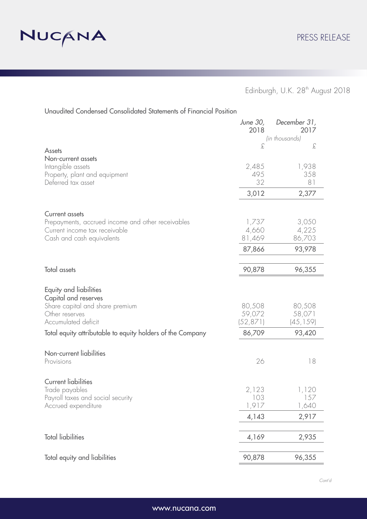

|                                                                                   | June 30,<br>2018 | December 31,<br>2017 |
|-----------------------------------------------------------------------------------|------------------|----------------------|
|                                                                                   |                  | (in thousands)       |
| <b>Assets</b>                                                                     | £                | £                    |
| Non-current assets                                                                |                  |                      |
| Intangible assets                                                                 | 2,485            | 1,938                |
| Property, plant and equipment                                                     | 495              | 358                  |
| Deferred tax asset                                                                | 32               | 81                   |
|                                                                                   | 3,012            | 2,377                |
| <b>Current assets</b>                                                             |                  |                      |
| Prepayments, accrued income and other receivables                                 | 1,737            | 3,050                |
| Current income tax receivable                                                     | 4,660            | 4,225                |
| Cash and cash equivalents                                                         | 81,469           | 86,703               |
|                                                                                   | 87,866           | 93,978               |
| <b>Total assets</b>                                                               | 90,878           | 96,355               |
| Equity and liabilities<br>Capital and reserves<br>Share capital and share premium | 80,508           | 80,508               |
| Other reserves                                                                    | 59,072           | 58,071               |
| Accumulated deficit                                                               | (52,871)         | (45, 159)            |
| Total equity attributable to equity holders of the Company                        | 86,709           | 93,420               |
| Non-current liabilities                                                           |                  |                      |
| Provisions                                                                        | 26               | 18                   |
| <b>Current liabilities</b>                                                        |                  |                      |
| Trade payables                                                                    | 2,123            | 1,120                |
| Payroll taxes and social security                                                 | 103              | 157                  |
| Accrued expenditure                                                               | 1,917            | 1,640                |
|                                                                                   | 4,143            | 2,917                |
| <b>Total liabilities</b>                                                          | 4,169            | 2,935                |
| Total equity and liabilities                                                      | 90,878           | 96,355               |

Unaudited Condensed Consolidated Statements of Financial Position

*Cont'd*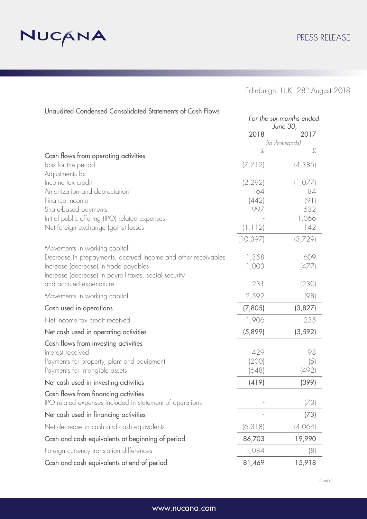

|                                                                                                  | For the six months ended<br>June 30, |             |  |
|--------------------------------------------------------------------------------------------------|--------------------------------------|-------------|--|
|                                                                                                  | 2018                                 | 2017        |  |
|                                                                                                  | (in thousands)                       |             |  |
| Cash flows from operating activities                                                             | £                                    | £           |  |
| Loss for the period                                                                              | (7, 712)                             | (4, 385)    |  |
| Adjustments for:                                                                                 |                                      |             |  |
| Income tax credit                                                                                | (2, 292)                             | (1,077)     |  |
| Amortization and depreciation                                                                    | 164                                  | 84          |  |
| Finance income                                                                                   | (442)<br>997                         | (91)<br>532 |  |
| Share-based payments<br>Initial public offering (IPO) related expenses                           |                                      | 1,066       |  |
| Net foreign exchange (gains) losses                                                              | (1, 112)                             | 142         |  |
|                                                                                                  |                                      |             |  |
| Movements in working capital:                                                                    | (10, 397)                            | (3,729)     |  |
| Decrease in prepayments, accrued income and other receivables                                    | 1,358                                | 609         |  |
| Increase (decrease) in trade payables                                                            | 1,003                                | (477)       |  |
| Increase (decrease) in payroll taxes, social security                                            |                                      |             |  |
| and accrued expenditure                                                                          | 231                                  | (230)       |  |
| Movements in working capital                                                                     | 2,592                                | (98)        |  |
| Cash used in operations                                                                          | (7,805)                              | (3,827)     |  |
| Net income tax credit received                                                                   | 1,906                                | 235         |  |
| Net cash used in operating activities                                                            | (5,899)                              | (3, 592)    |  |
| Cash flows from investing activities                                                             |                                      |             |  |
| Interest received                                                                                | 429                                  | 98          |  |
| Payments for property, plant and equipment                                                       | (200)                                | (5)         |  |
| Payments for intangible assets                                                                   | (648)                                | (492)       |  |
| Net cash used in investing activities                                                            | (419)                                | (399)       |  |
| Cash flows from financing activities<br>IPO related expenses included in statement of operations |                                      | (73)        |  |
| Net cash used in financing activities                                                            |                                      | (73)        |  |
| Net decrease in cash and cash equivalents                                                        | (6, 318)                             | (4,064)     |  |
| Cash and cash equivalents at beginning of period                                                 | 86,703                               | 19,990      |  |
| Foreign currency translation differences                                                         | 1,084                                | (8)         |  |
| Cash and cash equivalents at end of period                                                       | 81,469                               | 15,918      |  |

Unaudited Condensed Consolidated Statements of Cash Flows

*Cont'd*